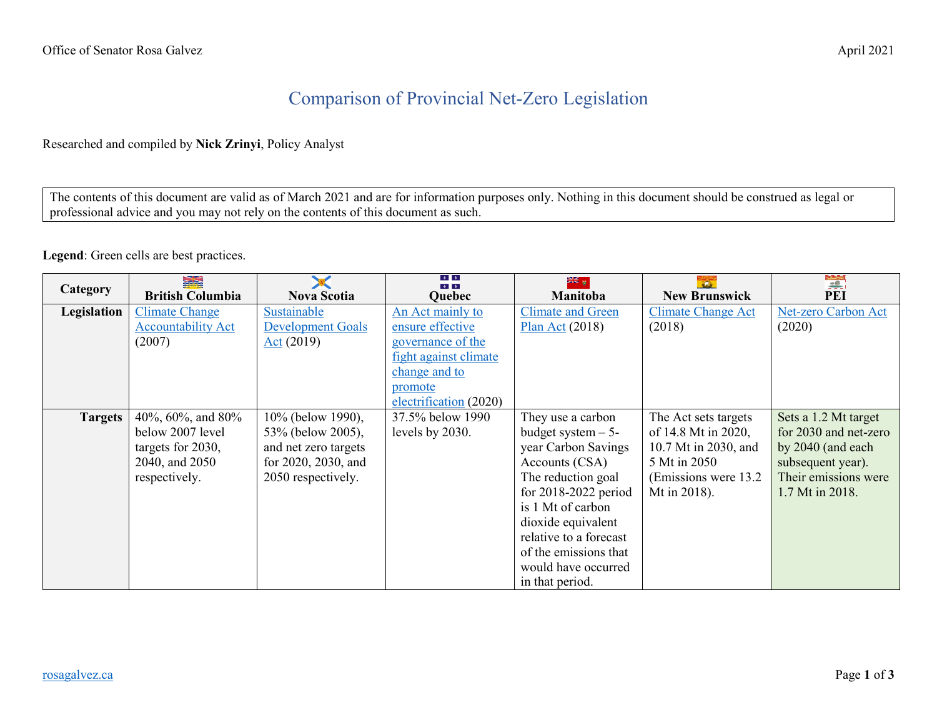## Comparison of Provincial Net-Zero Legislation

## Researched and compiled by **Nick Zrinyi**, Policy Analyst

The contents of this document are valid as of March 2021 and are for information purposes only. Nothing in this document should be construed as legal or professional advice and you may not rely on the contents of this document as such.

## **Legend**: Green cells are best practices.

| <b>Category</b> | N<br><b>British Columbia</b> | <b>Nova Scotia</b>       | $\frac{1}{2}$<br>4.14.<br><b>Quebec</b> | <u>a⊯</u><br>≫<br>Manitoba | <b>New Brunswick</b>      | PEI                   |
|-----------------|------------------------------|--------------------------|-----------------------------------------|----------------------------|---------------------------|-----------------------|
| Legislation     | <b>Climate Change</b>        | Sustainable              | An Act mainly to                        | <b>Climate and Green</b>   | <b>Climate Change Act</b> | Net-zero Carbon Act   |
|                 | <b>Accountability Act</b>    | <b>Development Goals</b> | ensure effective                        | Plan Act $(2018)$          | (2018)                    | (2020)                |
|                 | (2007)                       | $Act (2019)$             | governance of the                       |                            |                           |                       |
|                 |                              |                          | fight against climate                   |                            |                           |                       |
|                 |                              |                          | change and to                           |                            |                           |                       |
|                 |                              |                          | promote                                 |                            |                           |                       |
|                 |                              |                          | electrification (2020)                  |                            |                           |                       |
| <b>Targets</b>  | 40%, 60%, and 80%            | 10% (below 1990),        | 37.5% below 1990                        | They use a carbon          | The Act sets targets      | Sets a 1.2 Mt target  |
|                 | below 2007 level             | 53% (below 2005),        | levels by 2030.                         | budget system $-5$ -       | of 14.8 Mt in 2020,       | for 2030 and net-zero |
|                 | targets for 2030,            | and net zero targets     |                                         | year Carbon Savings        | 10.7 Mt in 2030, and      | by 2040 (and each     |
|                 | 2040, and 2050               | for 2020, 2030, and      |                                         | Accounts (CSA)             | 5 Mt in 2050              | subsequent year).     |
|                 | respectively.                | 2050 respectively.       |                                         | The reduction goal         | (Emissions were 13.2)     | Their emissions were  |
|                 |                              |                          |                                         | for $2018-2022$ period     | Mt in 2018).              | 1.7 Mt in 2018.       |
|                 |                              |                          |                                         | is 1 Mt of carbon          |                           |                       |
|                 |                              |                          |                                         | dioxide equivalent         |                           |                       |
|                 |                              |                          |                                         | relative to a forecast     |                           |                       |
|                 |                              |                          |                                         | of the emissions that      |                           |                       |
|                 |                              |                          |                                         | would have occurred        |                           |                       |
|                 |                              |                          |                                         | in that period.            |                           |                       |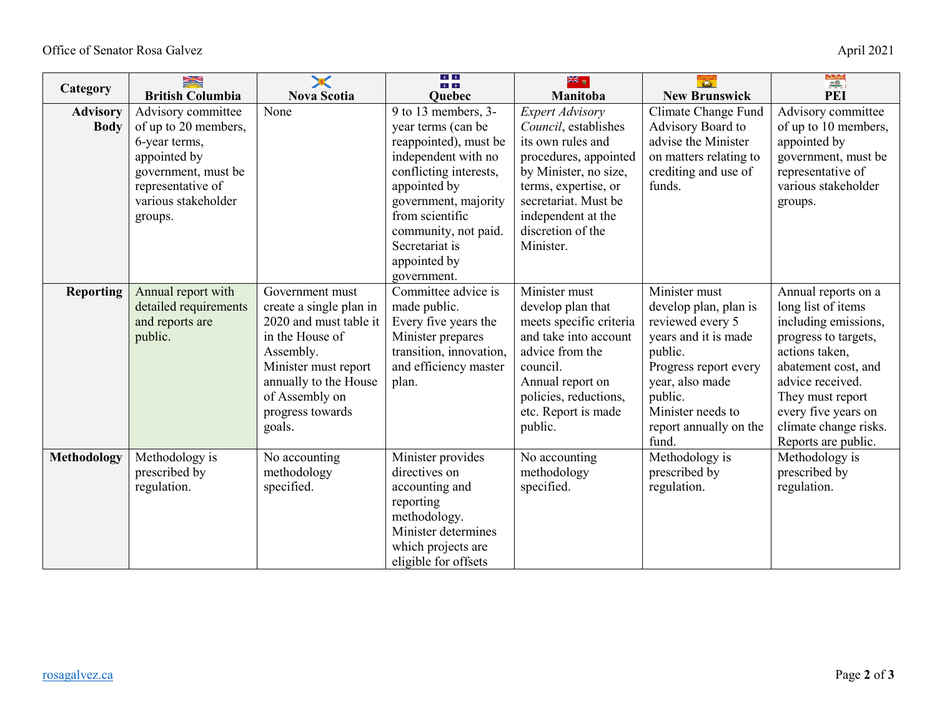| Category                       | 蒙蒙                                                                                                                                                        |                                                                                                                                                                                                       | $\left\vert \Phi \right\vert$ , $\left\vert \Phi \right\vert$<br>4.14.                                                                                                                                                                                  | ञ्रा∉ <sub>हा</sub>                                                                                                                                                                                                           | $\overline{a}$                                                                                                                                                                                               |                                                                                                                                                                                                                                                   |
|--------------------------------|-----------------------------------------------------------------------------------------------------------------------------------------------------------|-------------------------------------------------------------------------------------------------------------------------------------------------------------------------------------------------------|---------------------------------------------------------------------------------------------------------------------------------------------------------------------------------------------------------------------------------------------------------|-------------------------------------------------------------------------------------------------------------------------------------------------------------------------------------------------------------------------------|--------------------------------------------------------------------------------------------------------------------------------------------------------------------------------------------------------------|---------------------------------------------------------------------------------------------------------------------------------------------------------------------------------------------------------------------------------------------------|
|                                | <b>British Columbia</b>                                                                                                                                   | <b>Nova Scotia</b>                                                                                                                                                                                    | <b>Quebec</b>                                                                                                                                                                                                                                           | Manitoba                                                                                                                                                                                                                      | <b>New Brunswick</b>                                                                                                                                                                                         | <b>PEI</b>                                                                                                                                                                                                                                        |
| <b>Advisory</b><br><b>Body</b> | Advisory committee<br>of up to 20 members,<br>6-year terms,<br>appointed by<br>government, must be<br>representative of<br>various stakeholder<br>groups. | None                                                                                                                                                                                                  | 9 to 13 members, 3-<br>year terms (can be<br>reappointed), must be<br>independent with no<br>conflicting interests,<br>appointed by<br>government, majority<br>from scientific<br>community, not paid.<br>Secretariat is<br>appointed by<br>government. | <b>Expert Advisory</b><br>Council, establishes<br>its own rules and<br>procedures, appointed<br>by Minister, no size,<br>terms, expertise, or<br>secretariat. Must be<br>independent at the<br>discretion of the<br>Minister. | Climate Change Fund<br>Advisory Board to<br>advise the Minister<br>on matters relating to<br>crediting and use of<br>funds.                                                                                  | Advisory committee<br>of up to 10 members,<br>appointed by<br>government, must be<br>representative of<br>various stakeholder<br>groups.                                                                                                          |
| <b>Reporting</b>               | Annual report with<br>detailed requirements<br>and reports are<br>public.                                                                                 | Government must<br>create a single plan in<br>2020 and must table it<br>in the House of<br>Assembly.<br>Minister must report<br>annually to the House<br>of Assembly on<br>progress towards<br>goals. | Committee advice is<br>made public.<br>Every five years the<br>Minister prepares<br>transition, innovation,<br>and efficiency master<br>plan.                                                                                                           | Minister must<br>develop plan that<br>meets specific criteria<br>and take into account<br>advice from the<br>council.<br>Annual report on<br>policies, reductions,<br>etc. Report is made<br>public.                          | Minister must<br>develop plan, plan is<br>reviewed every 5<br>years and it is made<br>public.<br>Progress report every<br>year, also made<br>public.<br>Minister needs to<br>report annually on the<br>fund. | Annual reports on a<br>long list of items<br>including emissions,<br>progress to targets,<br>actions taken,<br>abatement cost, and<br>advice received.<br>They must report<br>every five years on<br>climate change risks.<br>Reports are public. |
| <b>Methodology</b>             | Methodology is<br>prescribed by<br>regulation.                                                                                                            | No accounting<br>methodology<br>specified.                                                                                                                                                            | Minister provides<br>directives on<br>accounting and<br>reporting<br>methodology.<br>Minister determines<br>which projects are<br>eligible for offsets                                                                                                  | No accounting<br>methodology<br>specified.                                                                                                                                                                                    | Methodology is<br>prescribed by<br>regulation.                                                                                                                                                               | Methodology is<br>prescribed by<br>regulation.                                                                                                                                                                                                    |